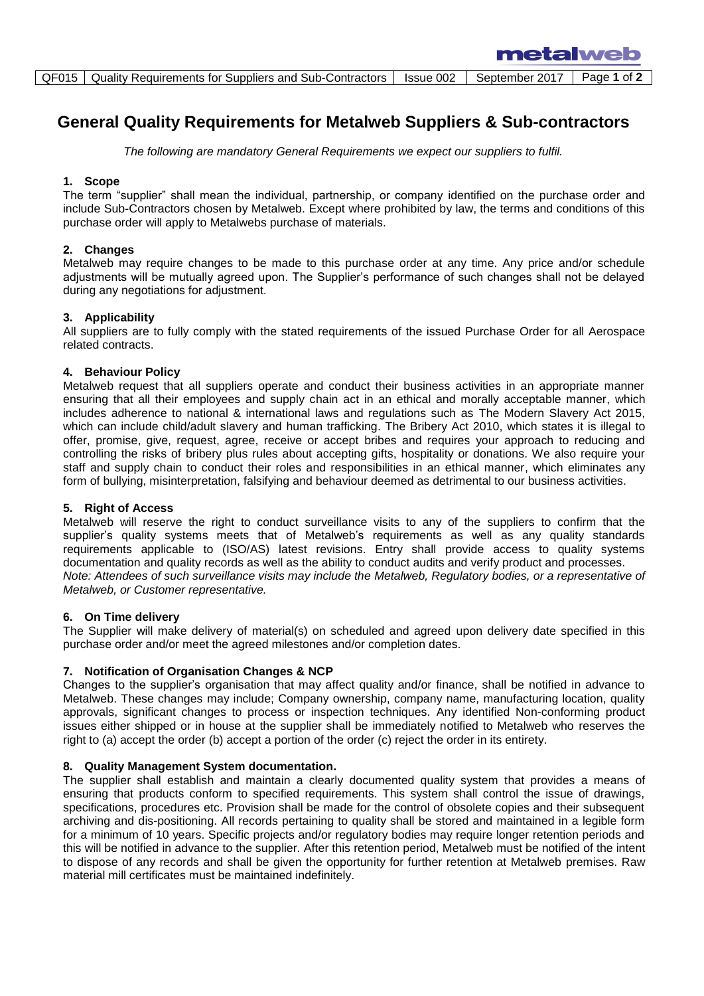# **General Quality Requirements for Metalweb Suppliers & Sub-contractors**

*The following are mandatory General Requirements we expect our suppliers to fulfil.*

## **1. Scope**

The term "supplier" shall mean the individual, partnership, or company identified on the purchase order and include Sub-Contractors chosen by Metalweb. Except where prohibited by law, the terms and conditions of this purchase order will apply to Metalwebs purchase of materials.

## **2. Changes**

Metalweb may require changes to be made to this purchase order at any time. Any price and/or schedule adjustments will be mutually agreed upon. The Supplier's performance of such changes shall not be delayed during any negotiations for adjustment.

## **3. Applicability**

All suppliers are to fully comply with the stated requirements of the issued Purchase Order for all Aerospace related contracts.

## **4. Behaviour Policy**

Metalweb request that all suppliers operate and conduct their business activities in an appropriate manner ensuring that all their employees and supply chain act in an ethical and morally acceptable manner, which includes adherence to national & international laws and regulations such as The Modern Slavery Act 2015, which can include child/adult slavery and human trafficking. The Bribery Act 2010, which states it is illegal to offer, promise, give, request, agree, receive or accept bribes and requires your approach to reducing and controlling the risks of bribery plus rules about accepting gifts, hospitality or donations. We also require your staff and supply chain to conduct their roles and responsibilities in an ethical manner, which eliminates any form of bullying, misinterpretation, falsifying and behaviour deemed as detrimental to our business activities.

## **5. Right of Access**

Metalweb will reserve the right to conduct surveillance visits to any of the suppliers to confirm that the supplier's quality systems meets that of Metalweb's requirements as well as any quality standards requirements applicable to (ISO/AS) latest revisions. Entry shall provide access to quality systems documentation and quality records as well as the ability to conduct audits and verify product and processes. *Note: Attendees of such surveillance visits may include the Metalweb, Regulatory bodies, or a representative of Metalweb, or Customer representative.*

## **6. On Time delivery**

The Supplier will make delivery of material(s) on scheduled and agreed upon delivery date specified in this purchase order and/or meet the agreed milestones and/or completion dates.

## **7. Notification of Organisation Changes & NCP**

Changes to the supplier's organisation that may affect quality and/or finance, shall be notified in advance to Metalweb. These changes may include; Company ownership, company name, manufacturing location, quality approvals, significant changes to process or inspection techniques. Any identified Non-conforming product issues either shipped or in house at the supplier shall be immediately notified to Metalweb who reserves the right to (a) accept the order (b) accept a portion of the order (c) reject the order in its entirety.

## **8. Quality Management System documentation.**

The supplier shall establish and maintain a clearly documented quality system that provides a means of ensuring that products conform to specified requirements. This system shall control the issue of drawings, specifications, procedures etc. Provision shall be made for the control of obsolete copies and their subsequent archiving and dis-positioning. All records pertaining to quality shall be stored and maintained in a legible form for a minimum of 10 years. Specific projects and/or regulatory bodies may require longer retention periods and this will be notified in advance to the supplier. After this retention period, Metalweb must be notified of the intent to dispose of any records and shall be given the opportunity for further retention at Metalweb premises. Raw material mill certificates must be maintained indefinitely.